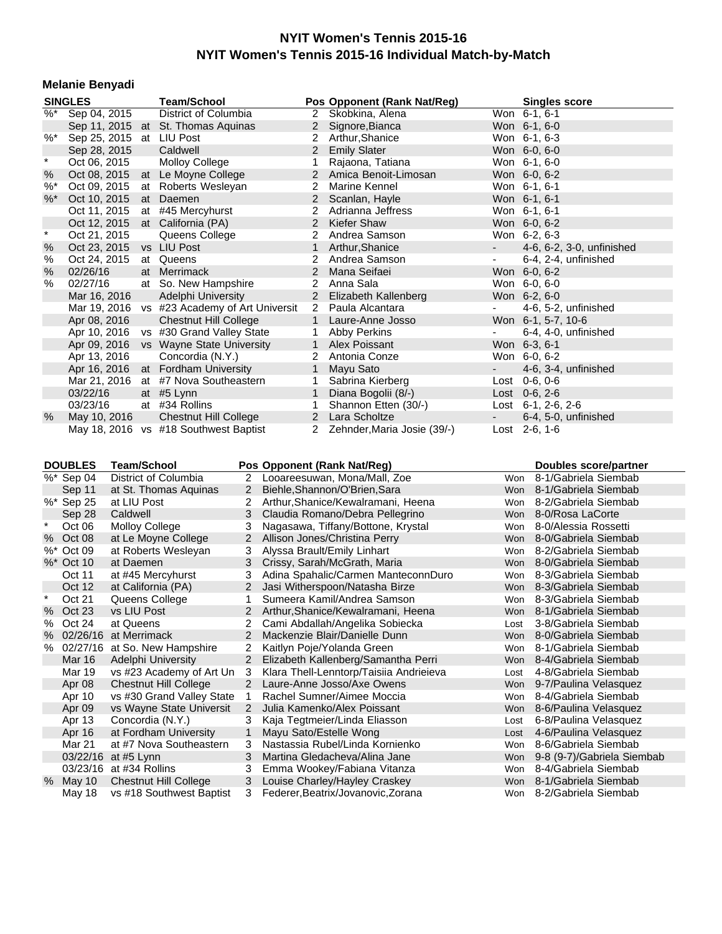#### **Melanie Benyadi**

|         | <b>SINGLES</b>           | <b>Team/School</b>                           |                      | Pos Opponent (Rank Nat/Reg)   |                         | <b>Singles score</b>      |
|---------|--------------------------|----------------------------------------------|----------------------|-------------------------------|-------------------------|---------------------------|
|         | %* Sep 04, 2015          | District of Columbia                         |                      | 2 Skobkina, Alena             |                         | Won 6-1, 6-1              |
|         |                          | Sep 11, 2015 at St. Thomas Aquinas           |                      | 2 Signore, Bianca             |                         | Won 6-1, 6-0              |
| $%$ *   | Sep 25, 2015 at LIU Post |                                              | $\mathbf{2}^{\circ}$ | Arthur, Shanice               |                         | Won 6-1, 6-3              |
|         | Sep 28, 2015             | Caldwell                                     |                      | 2 Emily Slater                |                         | Won 6-0, 6-0              |
| $\star$ | Oct 06, 2015             | <b>Molloy College</b>                        | 1                    | Rajaona, Tatiana              |                         | Won 6-1, 6-0              |
| %       | Oct 08, 2015             | at Le Moyne College                          |                      | 2 Amica Benoit-Limosan        |                         | Won 6-0, 6-2              |
| $%^*$   | Oct 09, 2015             | at Roberts Wesleyan                          | 2                    | Marine Kennel                 |                         | Won 6-1, 6-1              |
| $%$ *   | Oct 10, 2015             | at Daemen                                    |                      | 2 Scanlan, Hayle              |                         | Won 6-1, 6-1              |
|         | Oct 11, 2015             | at #45 Mercyhurst                            | $\mathbf{2}$         | Adrianna Jeffress             |                         | Won 6-1, 6-1              |
|         | Oct 12, 2015             | at California (PA)                           |                      | 2 Kiefer Shaw                 |                         | Won 6-0, 6-2              |
| $\star$ | Oct 21, 2015             | Queens College                               | $\overline{2}$       | Andrea Samson                 |                         | Won 6-2, 6-3              |
| %       | Oct 23, 2015             | vs LIU Post                                  | $\mathbf{1}$         | Arthur, Shanice               | $\sim 100$ km s $^{-1}$ | 4-6, 6-2, 3-0, unfinished |
| %       | Oct 24, 2015             | at Queens                                    | $\mathbf{2}^{\circ}$ | Andrea Samson                 | $\blacksquare$          | 6-4, 2-4, unfinished      |
| $\%$    | 02/26/16                 | at Merrimack                                 | 2                    | Mana Seifaei                  |                         | Won 6-0, 6-2              |
| $\%$    | 02/27/16                 | at So. New Hampshire                         |                      | 2 Anna Sala                   |                         | Won 6-0, 6-0              |
|         | Mar 16, 2016             | Adelphi University                           |                      | 2 Elizabeth Kallenberg        |                         | Won 6-2, 6-0              |
|         |                          | Mar 19, 2016 vs #23 Academy of Art Universit |                      | 2 Paula Alcantara             |                         | 4-6, 5-2, unfinished      |
|         | Apr 08, 2016             | <b>Chestnut Hill College</b>                 | 1                    | Laure-Anne Josso              |                         | Won 6-1, 5-7, 10-6        |
|         | Apr 10, 2016             | vs #30 Grand Valley State                    | 1                    | Abby Perkins                  | $\blacksquare$          | 6-4, 4-0, unfinished      |
|         | Apr 09, 2016             | vs Wayne State University                    |                      | 1 Alex Poissant               |                         | Won 6-3, 6-1              |
|         | Apr 13, 2016             | Concordia (N.Y.)                             |                      | 2 Antonia Conze               |                         | Won 6-0, 6-2              |
|         | Apr 16, 2016             | at Fordham University                        | $\mathbf{1}$         | Mayu Sato                     |                         | 4-6, 3-4, unfinished      |
|         | Mar 21, 2016             | at #7 Nova Southeastern                      | 1                    | Sabrina Kierberg              | Lost                    | $0-6, 0-6$                |
|         | 03/22/16                 | at $#5$ Lynn                                 | $\mathbf{1}$         | Diana Bogolii (8/-)           |                         | Lost $0-6, 2-6$           |
|         | 03/23/16                 | at #34 Rollins                               | $\mathbf{1}$         | Shannon Etten (30/-)          |                         | Lost $6-1$ , 2-6, 2-6     |
| $\%$    | May 10, 2016             | <b>Chestnut Hill College</b>                 | $\mathbf{2}$         | Lara Scholtze                 | $\sim 100$              | 6-4, 5-0, unfinished      |
|         |                          | May 18, 2016 vs #18 Southwest Baptist        |                      | 2 Zehnder, Maria Josie (39/-) |                         | Lost 2-6, 1-6             |

**DOUBLES Team/School Pos Opponent (Rank Nat/Reg) Boubles score/partner example is the United Score/Partner<br>**  $\%^*$  **Sep 04 District of Columbia 2 Looareesuwan, Mona/Mall, Zoe Won 8-1/Gabriela Siembab** Sep 04 District of Columbia 2 Looareesuwan, Mona/Mall, Zoe Won 8-1/Gabriela Siembab<br>
Sep 11 at St. Thomas Aquinas 2 Biehle, Shannon/O'Brien, Sara Won 8-1/Gabriela Siembab 2 Biehle,Shannon/O'Brien,Sara Won 8-1/Gabriela Siembab %\* Sep 25 at LIU Post 2 Arthur, Shanice/Kewalramani, Heena Won 8-2/Gabriela Siembab Sep 28 Caldwell 3 Claudia Romano/Debra Pellegrino Won 8-0/Rosa LaCorte Oct 06 Molloy College 3 Nagasawa, Tiffany/Bottone, Krystal Won 8-0/Alessia Rossetti % Oct 08 at Le Moyne College 2 Allison Jones/Christina Perry Won 8-0/Gabriela Siembab %\* Oct 09 at Roberts Wesleyan 3 Alyssa Brault/Emily Linhart World Won 8-2/Gabriela Siembab<br>%\* Oct 10 at Daemen 3 Crissy, Sarah/McGrath, Maria Won 8-0/Gabriela Siembab %\* Oct 10 at Daemen 3 Crissy, Sarah/McGrath, Maria Won 8-0/Gabriela Siembab Oct 11 at #45 Mercyhurst 3 Adina Spahalic/Carmen ManteconnDuro Won 8-3/Gabriela Siembab Oct 12 at California (PA) 2 Jasi Witherspoon/Natasha Birze Won 8-3/Gabriela Siembab Oct 21 Queens College 1 Sumeera Kamil/Andrea Samson Won 8-3/Gabriela Siembab % Oct 23 vs LIU Post 2 Arthur, Shanice/Kewalramani, Heena Won 8-1/Gabriela Siembab % Oct 24 at Queens 2 Cami Abdallah/Angelika Sobiecka Lost 3-8/Gabriela Siembab<br>% 02/26/16 at Merrimack 2 Mackenzie Blair/Danielle Dunn Won 8-0/Gabriela Siembab % 02/26/16 at Merrimack 2 Mackenzie Blair/Danielle Dunn<br>% 02/27/16 at So. New Hampshire 2 Kaitlyn Poie/Yolanda Green 6 Won 8-1/Gabriela Siembab % 02/27/16 at So. New Hampshire 2 Kaitlyn Poje/Yolanda Green 8-10-100 won Mar 16 Adelphi University 2 Elizabeth Kallenberg/Samantha Perri Won 8-4/Gabriela Siembab Mar 19 vs #23 Academy of Art Un 3 Klara Thell-Lenntorp/Taisiia Andrieieva Lost 4-8/Gabriela Siembab Apr 08 Chestnut Hill College 2 Laure-Anne Josso/Axe Owens Won 9-7/Paulina Velasquez Apr 10 vs #30 Grand Valley State 1 Rachel Sumner/Aimee Moccia Won 8-4/Gabriela Siembab Apr 09 vs Wayne State Universit 2 Julia Kamenko/Alex Poissant World Won 8-6/Paulina Velasquez Apr 13 Concordia (N.Y.) 3 Kaja Tegtmeier/Linda Eliasson Lost 6-8/Paulina Velasquez<br>Apr 16 at Fordham University 1 Mayu Sato/Estelle Wong Chronest Lost 4-6/Paulina Velasquez 1 Mayu Sato/Estelle Wong Lost 4-6-6-20Paulina Velast 4-6-6-20Paulina Velast 4-6-Mar 21 at #7 Nova Southeastern 3 Nastassia Rubel/Linda Kornienko Won 8-6/Gabriela Siembab 03/22/16 at #5 Lynn 3 Martina Gledacheva/Alina Jane Won 9-8 (9-7)/Gabriela Siembab 03/23/16 at #34 Rollins 3 Emma Wookey/Fabiana Vitanza 5 Mon 8-4/Gabriela Siembab May 10 Chestnut Hill College 3 Louise Charley/Hayley Craskey Won 8-1/Gabriela Siembab May 18 vs #18 Southwest Baptist 3 Federer, Beatrix/Jovanovic, Zorana Won 8-2/Gabriela Siembab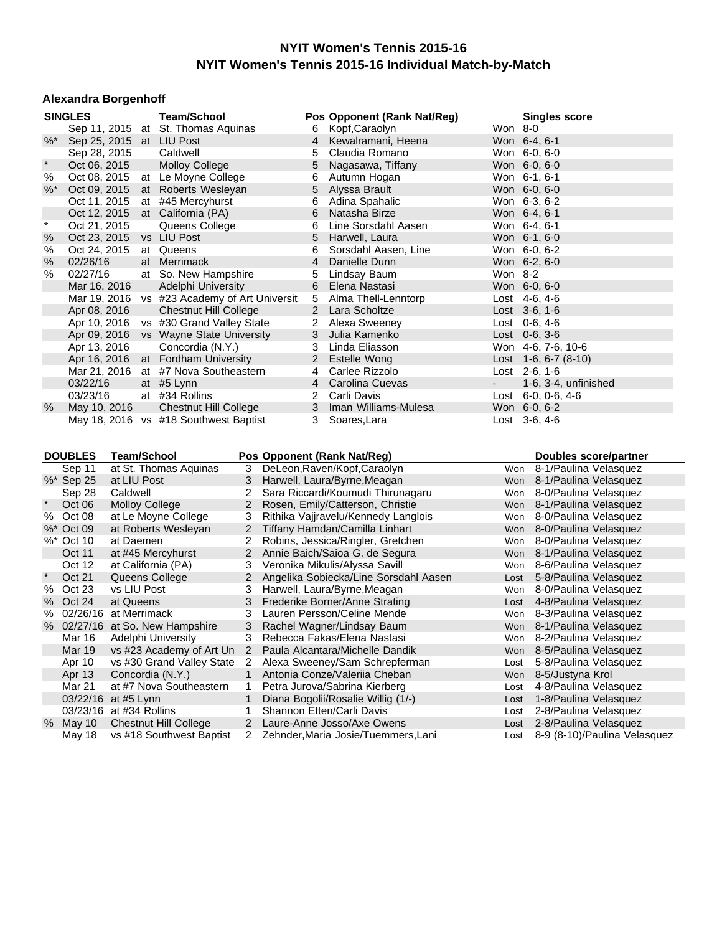#### **Alexandra Borgenhoff**

|         | <b>SINGLES</b>          |                       | <b>Team/School</b>                           |                |                | Pos Opponent (Rank Nat/Reg)           |                 | <b>Singles score</b>         |
|---------|-------------------------|-----------------------|----------------------------------------------|----------------|----------------|---------------------------------------|-----------------|------------------------------|
|         |                         |                       | Sep 11, 2015 at St. Thomas Aquinas           |                | 6              | Kopf, Caraolyn                        | Won 8-0         |                              |
| $%^*$   |                         |                       | Sep 25, 2015 at LIU Post                     |                | 4              | Kewalramani, Heena                    | Won 6-4, 6-1    |                              |
|         | Sep 28, 2015            |                       | Caldwell                                     |                | 5              | Claudia Romano                        | Won 6-0, 6-0    |                              |
| $\star$ | Oct 06, 2015            |                       | <b>Molloy College</b>                        |                | 5              | Nagasawa, Tiffany                     | Won 6-0, 6-0    |                              |
| %       | Oct 08, 2015            |                       | at Le Moyne College                          |                | 6              | Autumn Hogan                          | Won 6-1, 6-1    |                              |
| $%^*$   | Oct 09, 2015            |                       | at Roberts Wesleyan                          |                | 5              | Alyssa Brault                         | Won 6-0, 6-0    |                              |
|         | Oct 11, 2015            |                       | at #45 Mercyhurst                            |                | 6              | Adina Spahalic                        | Won 6-3, 6-2    |                              |
|         | Oct 12, 2015            |                       | at California (PA)                           |                | 6              | Natasha Birze                         | Won 6-4, 6-1    |                              |
| $\star$ | Oct 21, 2015            |                       | Queens College                               |                | 6              | Line Sorsdahl Aasen                   | Won 6-4, 6-1    |                              |
| %       | Oct 23, 2015            |                       | vs LIU Post                                  |                | 5              | Harwell, Laura                        | Won 6-1, 6-0    |                              |
| $\%$    | Oct 24, 2015            |                       | at Queens                                    |                | 6              | Sorsdahl Aasen, Line                  | Won 6-0, 6-2    |                              |
| $\%$    | 02/26/16                |                       | at Merrimack                                 |                | 4              | Danielle Dunn                         | Won 6-2, 6-0    |                              |
| %       | 02/27/16                |                       | at So. New Hampshire                         |                | 5              | Lindsay Baum                          | Won 8-2         |                              |
|         | Mar 16, 2016            |                       | Adelphi University                           |                | 6              | Elena Nastasi                         | Won 6-0, 6-0    |                              |
|         |                         |                       | Mar 19, 2016 vs #23 Academy of Art Universit |                | 5              | Alma Thell-Lenntorp                   | Lost 4-6, 4-6   |                              |
|         | Apr 08, 2016            |                       | <b>Chestnut Hill College</b>                 |                | $2^{\circ}$    | Lara Scholtze                         | Lost $3-6, 1-6$ |                              |
|         |                         |                       | Apr 10, 2016 vs #30 Grand Valley State       |                | 2              | Alexa Sweeney                         | Lost $0-6, 4-6$ |                              |
|         |                         |                       | Apr 09, 2016 vs Wayne State University       |                | 3              | Julia Kamenko                         | Lost 0-6, 3-6   |                              |
|         | Apr 13, 2016            |                       | Concordia (N.Y.)                             |                | 3              | Linda Eliasson                        |                 | Won 4-6, 7-6, 10-6           |
|         |                         |                       | Apr 16, 2016 at Fordham University           |                | $\overline{2}$ | Estelle Wong                          |                 | Lost 1-6, 6-7 (8-10)         |
|         |                         |                       | Mar 21, 2016 at #7 Nova Southeastern         |                | 4              | Carlee Rizzolo                        | Lost 2-6, 1-6   |                              |
|         | 03/22/16                |                       | at #5 Lynn                                   |                | $\overline{4}$ | Carolina Cuevas                       |                 | 1-6, 3-4, unfinished         |
|         | 03/23/16                |                       | at #34 Rollins                               |                | 2              | Carli Davis                           |                 | Lost 6-0, 0-6, 4-6           |
| %       | May 10, 2016            |                       | <b>Chestnut Hill College</b>                 |                | 3              | Iman Williams-Mulesa                  | Won 6-0, 6-2    |                              |
|         |                         |                       | May 18, 2016 vs #18 Southwest Baptist        |                | 3              | Soares, Lara                          | Lost 3-6, 4-6   |                              |
|         |                         |                       |                                              |                |                |                                       |                 |                              |
|         |                         |                       |                                              |                |                |                                       |                 |                              |
|         | <b>DOUBLES</b>          | <b>Team/School</b>    |                                              |                |                | Pos Opponent (Rank Nat/Reg)           |                 | Doubles score/partner        |
|         | Sep 11                  |                       | at St. Thomas Aquinas                        | 3              |                | DeLeon, Raven/Kopf, Caraolyn          |                 | Won 8-1/Paulina Velasquez    |
|         | %* Sep 25               | at LIU Post           |                                              | 3              |                | Harwell, Laura/Byrne, Meagan          |                 | Won 8-1/Paulina Velasquez    |
|         | Sep 28                  | Caldwell              |                                              | 2              |                | Sara Riccardi/Koumudi Thirunagaru     |                 | Won 8-0/Paulina Velasquez    |
|         | Oct 06                  | <b>Molloy College</b> |                                              | $\overline{2}$ |                | Rosen, Emily/Catterson, Christie      |                 | Won 8-1/Paulina Velasquez    |
|         | % Oct 08                |                       | at Le Moyne College                          | 3              |                | Rithika Vajjravelu/Kennedy Langlois   |                 | Won 8-0/Paulina Velasquez    |
|         | %* Oct 09               |                       | at Roberts Wesleyan                          | 2              |                | Tiffany Hamdan/Camilla Linhart        | Won             | 8-0/Paulina Velasquez        |
|         | %* Oct 10               | at Daemen             |                                              | 2              |                | Robins, Jessica/Ringler, Gretchen     |                 | Won 8-0/Paulina Velasquez    |
|         | Oct 11                  |                       | at #45 Mercyhurst                            | $2^{\circ}$    |                | Annie Baich/Saioa G. de Segura        |                 | Won 8-1/Paulina Velasquez    |
| $\star$ | Oct 12                  |                       | at California (PA)                           | 3              |                | Veronika Mikulis/Alyssa Savill        |                 | Won 8-6/Paulina Velasquez    |
|         | Oct 21                  |                       | Queens College                               | $^{2}$         |                | Angelika Sobiecka/Line Sorsdahl Aasen | Lost            | 5-8/Paulina Velasquez        |
|         | % Oct 23                | vs LIU Post           |                                              | 3              |                | Harwell, Laura/Byrne, Meagan          |                 | Won 8-0/Paulina Velasquez    |
|         | % Oct 24                | at Queens             |                                              | 3              |                | Frederike Borner/Anne Strating        |                 | Lost 4-8/Paulina Velasquez   |
|         | % 02/26/16 at Merrimack |                       |                                              | 3              |                | Lauren Persson/Celine Mende           |                 | Won 8-3/Paulina Velasquez    |
|         |                         |                       | % 02/27/16 at So. New Hampshire              | 3              |                | Rachel Wagner/Lindsay Baum            |                 | Won 8-1/Paulina Velasquez    |
|         |                         |                       | Mar 16 Adelphi University                    | 3              |                | Rebecca Fakas/Elena Nastasi           |                 | Won 8-2/Paulina Velasquez    |
|         | Mar 19                  |                       | vs #23 Academy of Art Un                     | 2              |                | Paula Alcantara/Michelle Dandik       |                 | Won 8-5/Paulina Velasquez    |
|         | Apr 10                  |                       | vs #30 Grand Valley State                    | 2              |                | Alexa Sweeney/Sam Schrepferman        | Lost            | 5-8/Paulina Velasquez        |
|         | Apr 13                  |                       | Concordia (N.Y.)                             | $\mathbf{1}$   |                | Antonia Conze/Valeriia Cheban         | Won             | 8-5/Justyna Krol             |
|         | <b>Mar 21</b>           |                       | at #7 Nova Southeastern                      | 1              |                | Petra Jurova/Sabrina Kierberg         | Lost            | 4-8/Paulina Velasquez        |
|         | 03/22/16 at #5 Lynn     |                       |                                              |                |                | Diana Bogolii/Rosalie Willig (1/-)    | Lost            | 1-8/Paulina Velasquez        |
|         | 03/23/16                | at #34 Rollins        |                                              | 1              |                | Shannon Etten/Carli Davis             | Lost            | 2-8/Paulina Velasquez        |
|         | % May 10                |                       | <b>Chestnut Hill College</b>                 | 2              |                | Laure-Anne Josso/Axe Owens            | Lost            | 2-8/Paulina Velasquez        |
|         | May 18                  |                       | vs #18 Southwest Baptist                     | 2              |                | Zehnder, Maria Josie/Tuemmers, Lani   | Lost            | 8-9 (8-10)/Paulina Velasquez |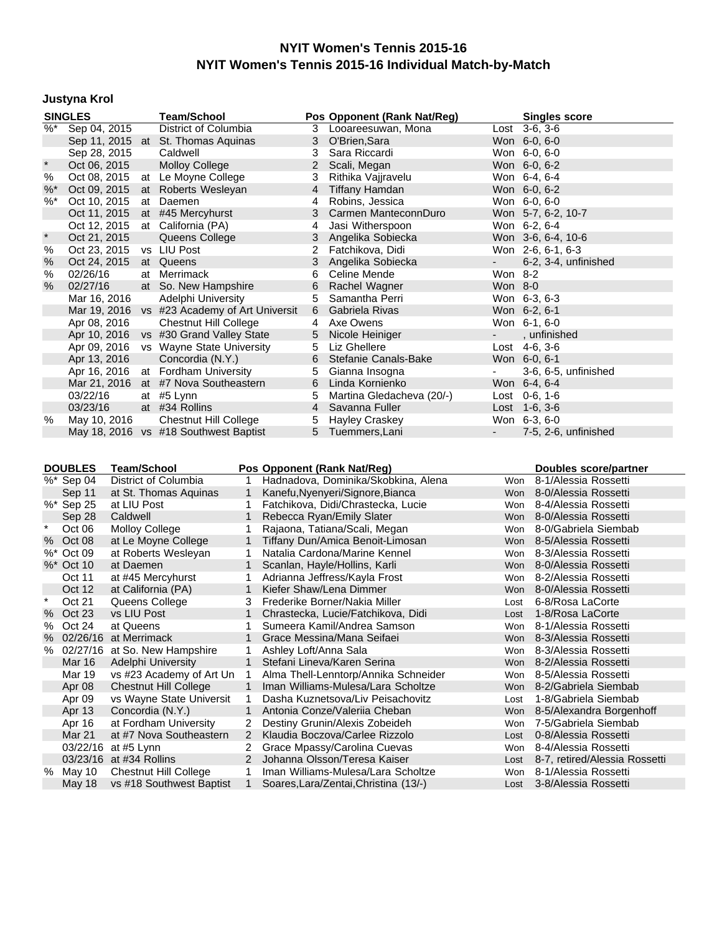# **Justyna Krol**

|               | <b>SINGLES</b>                        |                    |  | <b>Team/School</b>                           |                               | Pos Opponent (Rank Nat/Reg)         |                          | <b>Singles score</b>  |
|---------------|---------------------------------------|--------------------|--|----------------------------------------------|-------------------------------|-------------------------------------|--------------------------|-----------------------|
| $\frac{0}{6}$ | Sep 04, 2015                          |                    |  | <b>District of Columbia</b>                  | 3                             | Looareesuwan, Mona                  |                          | $Last 3-6, 3-6$       |
|               |                                       |                    |  | Sep 11, 2015 at St. Thomas Aquinas           | 3                             | O'Brien, Sara                       |                          | Won 6-0, 6-0          |
|               | Sep 28, 2015                          |                    |  | Caldwell                                     | 3                             | Sara Riccardi                       |                          | Won 6-0, 6-0          |
| $\ast$        | Oct 06, 2015                          |                    |  | <b>Molloy College</b>                        | $\overline{2}$                | Scali, Megan                        |                          | Won 6-0, 6-2          |
| %             | Oct 08, 2015                          |                    |  | at Le Moyne College                          | 3                             | Rithika Vajjravelu                  |                          | Won 6-4, 6-4          |
| $%^*$         | Oct 09, 2015                          |                    |  | at Roberts Wesleyan                          | 4                             | <b>Tiffany Hamdan</b>               |                          | Won 6-0, 6-2          |
| $%$ *         | Oct 10, 2015                          |                    |  | at Daemen                                    | 4                             | Robins, Jessica                     |                          | Won 6-0, 6-0          |
|               |                                       |                    |  | Oct 11, 2015 at #45 Mercyhurst               | 3                             | Carmen ManteconnDuro                |                          | Won 5-7, 6-2, 10-7    |
|               | Oct 12, 2015                          |                    |  | at California (PA)                           | 4                             | Jasi Witherspoon                    |                          | Won 6-2, 6-4          |
|               | Oct 21, 2015                          |                    |  | Queens College                               | 3                             | Angelika Sobiecka                   |                          | Won 3-6, 6-4, 10-6    |
| %             | Oct 23, 2015                          |                    |  | vs LIU Post                                  | 2                             | Fatchikova, Didi                    |                          | Won 2-6, 6-1, 6-3     |
| %             | Oct 24, 2015                          |                    |  | at Queens                                    | 3                             | Angelika Sobiecka                   |                          | 6-2, 3-4, unfinished  |
| %             | 02/26/16                              |                    |  | at Merrimack                                 | 6                             | Celine Mende                        | Won 8-2                  |                       |
| %             | 02/27/16                              |                    |  | at So. New Hampshire                         | 6                             | Rachel Wagner                       | Won 8-0                  |                       |
|               | Mar 16, 2016                          |                    |  | Adelphi University                           | 5                             | Samantha Perri                      |                          | Won 6-3, 6-3          |
|               |                                       |                    |  | Mar 19, 2016 vs #23 Academy of Art Universit | 6                             | Gabriela Rivas                      |                          | Won 6-2, 6-1          |
|               | Apr 08, 2016                          |                    |  | <b>Chestnut Hill College</b>                 | 4                             | Axe Owens                           |                          | Won 6-1, 6-0          |
|               | Apr 10, 2016                          |                    |  | vs #30 Grand Valley State                    | 5                             | Nicole Heiniger                     |                          | , unfinished          |
|               | Apr 09, 2016                          |                    |  | vs Wayne State University                    | 5                             | Liz Ghellere                        |                          | Lost 4-6, 3-6         |
|               | Apr 13, 2016                          |                    |  | Concordia (N.Y.)                             | 6                             | Stefanie Canals-Bake                |                          | Won 6-0, 6-1          |
|               | Apr 16, 2016                          |                    |  | at Fordham University                        | 5                             | Gianna Insogna                      |                          | 3-6, 6-5, unfinished  |
|               | Mar 21, 2016                          |                    |  | at #7 Nova Southeastern                      | 6                             | Linda Kornienko                     |                          | Won 6-4, 6-4          |
|               | 03/22/16                              |                    |  | at #5 Lynn                                   | 5                             | Martina Gledacheva (20/-)           |                          | Lost 0-6, 1-6         |
|               | 03/23/16                              |                    |  | at #34 Rollins                               | $\overline{4}$                | Savanna Fuller                      |                          | Lost $1-6, 3-6$       |
| %             | May 10, 2016                          |                    |  | <b>Chestnut Hill College</b>                 | 5                             | Hayley Craskey                      |                          | Won 6-3, 6-0          |
|               |                                       |                    |  | May 18, 2016 vs #18 Southwest Baptist        | 5                             | Tuemmers, Lani                      | $\overline{\phantom{a}}$ | 7-5, 2-6, unfinished  |
|               |                                       |                    |  |                                              |                               |                                     |                          |                       |
|               |                                       |                    |  |                                              |                               |                                     |                          |                       |
|               | <b>DOUBLES</b>                        | <b>Team/School</b> |  |                                              |                               | Pos Opponent (Rank Nat/Reg)         |                          | Doubles score/partner |
|               | $\sqrt[3]{6}$ * Sep 04                |                    |  | District of Columbia<br>1                    |                               | Hadnadova, Dominika/Skobkina, Alena | Won                      | 8-1/Alessia Rossetti  |
|               | Sep 11                                |                    |  | at St. Thomas Aquinas<br>1                   |                               | Kanefu, Nyenyeri/Signore, Bianca    | <b>Won</b>               | 8-0/Alessia Rossetti  |
|               | %* Sep 25                             | at LIU Post        |  |                                              |                               | Fatchikova, Didi/Chrastecka, Lucie  | Won                      | 8-4/Alessia Rossetti  |
|               | Sep 28                                | Caldwell           |  | 1                                            |                               | Rebecca Ryan/Emily Slater           | <b>Won</b>               | 8-0/Alessia Rossetti  |
| $\star$       | Oct 06                                |                    |  | <b>Molloy College</b>                        |                               | Rajaona, Tatiana/Scali, Megan       | Won                      | 8-0/Gabriela Siembab  |
| $\%$          | Oct 08                                |                    |  | at Le Moyne College<br>1                     |                               | Tiffany Dun/Amica Benoit-Limosan    | Won                      | 8-5/Alessia Rossetti  |
|               | %* Oct 09<br>at Roberts Wesleyan<br>1 |                    |  |                                              | Natalia Cardona/Marine Kennel |                                     | Won 8-3/Alessia Rossetti |                       |

|        | %* Sep 25 | at LIU Post                   |                      | Fatchikova, Didi/Chrastecka, Lucie    | Won        | 8-4/Alessia Rossetti          |
|--------|-----------|-------------------------------|----------------------|---------------------------------------|------------|-------------------------------|
|        | Sep 28    | Caldwell                      |                      | Rebecca Ryan/Emily Slater             |            | Won 8-0/Alessia Rossetti      |
|        | Oct 06    | Molloy College                |                      | Rajaona, Tatiana/Scali, Megan         | Won        | 8-0/Gabriela Siembab          |
|        | % Oct 08  | at Le Moyne College           | $\mathbf{1}$         | Tiffany Dun/Amica Benoit-Limosan      |            | Won 8-5/Alessia Rossetti      |
|        | %* Oct 09 | at Roberts Wesleyan           |                      | Natalia Cardona/Marine Kennel         | Won        | 8-3/Alessia Rossetti          |
|        | %* Oct 10 | at Daemen                     | 1                    | Scanlan, Hayle/Hollins, Karli         |            | Won 8-0/Alessia Rossetti      |
|        | Oct 11    | at #45 Mercyhurst             |                      | Adrianna Jeffress/Kayla Frost         | Won        | 8-2/Alessia Rossetti          |
|        | Oct 12    | at California (PA)            | 1                    | Kiefer Shaw/Lena Dimmer               | <b>Won</b> | 8-0/Alessia Rossetti          |
| $\ast$ | Oct 21    | Queens College                | 3                    | Frederike Borner/Nakia Miller         | Lost       | 6-8/Rosa LaCorte              |
|        | % Oct 23  | vs LIU Post                   | $\mathbf{1}$         | Chrastecka, Lucie/Fatchikova, Didi    | Lost       | 1-8/Rosa LaCorte              |
|        | % Oct 24  | at Queens                     |                      | Sumeera Kamil/Andrea Samson           | <b>Won</b> | 8-1/Alessia Rossetti          |
| %      |           | 02/26/16 at Merrimack         | 1                    | Grace Messina/Mana Seifaei            | Won        | 8-3/Alessia Rossetti          |
| %      |           | 02/27/16 at So. New Hampshire | $\mathbf{1}$         | Ashley Loft/Anna Sala                 | Won        | 8-3/Alessia Rossetti          |
|        | Mar 16    | Adelphi University            | $\mathbf{1}$         | Stefani Lineva/Karen Serina           | Won        | 8-2/Alessia Rossetti          |
|        | Mar 19    | vs #23 Academy of Art Un      |                      | Alma Thell-Lenntorp/Annika Schneider  | Won        | 8-5/Alessia Rossetti          |
|        | Apr 08    | <b>Chestnut Hill College</b>  |                      | Iman Williams-Mulesa/Lara Scholtze    | Won        | 8-2/Gabriela Siembab          |
|        | Apr 09    | vs Wayne State Universit      |                      | Dasha Kuznetsova/Liv Peisachovitz     | Lost       | 1-8/Gabriela Siembab          |
|        | Apr 13    | Concordia (N.Y.)              | 1                    | Antonia Conze/Valerija Cheban         | <b>Won</b> | 8-5/Alexandra Borgenhoff      |
|        | Apr 16    | at Fordham University         | $\mathbf{2}^{\circ}$ | Destiny Grunin/Alexis Zobeideh        | <b>Won</b> | 7-5/Gabriela Siembab          |
|        | Mar 21    | at #7 Nova Southeastern       | $\mathbf{2}$         | Klaudia Boczova/Carlee Rizzolo        | Lost       | 0-8/Alessia Rossetti          |
|        |           | 03/22/16 at #5 Lynn           | 2                    | Grace Mpassy/Carolina Cuevas          | Won        | 8-4/Alessia Rossetti          |
|        |           | 03/23/16 at #34 Rollins       |                      | 2 Johanna Olsson/Teresa Kaiser        | Lost       | 8-7, retired/Alessia Rossetti |
| %      | May 10    | Chestnut Hill College         |                      | Iman Williams-Mulesa/Lara Scholtze    | Won        | 8-1/Alessia Rossetti          |
|        | May 18    | vs #18 Southwest Baptist      |                      | Soares, Lara/Zentai, Christina (13/-) |            | Lost 3-8/Alessia Rossetti     |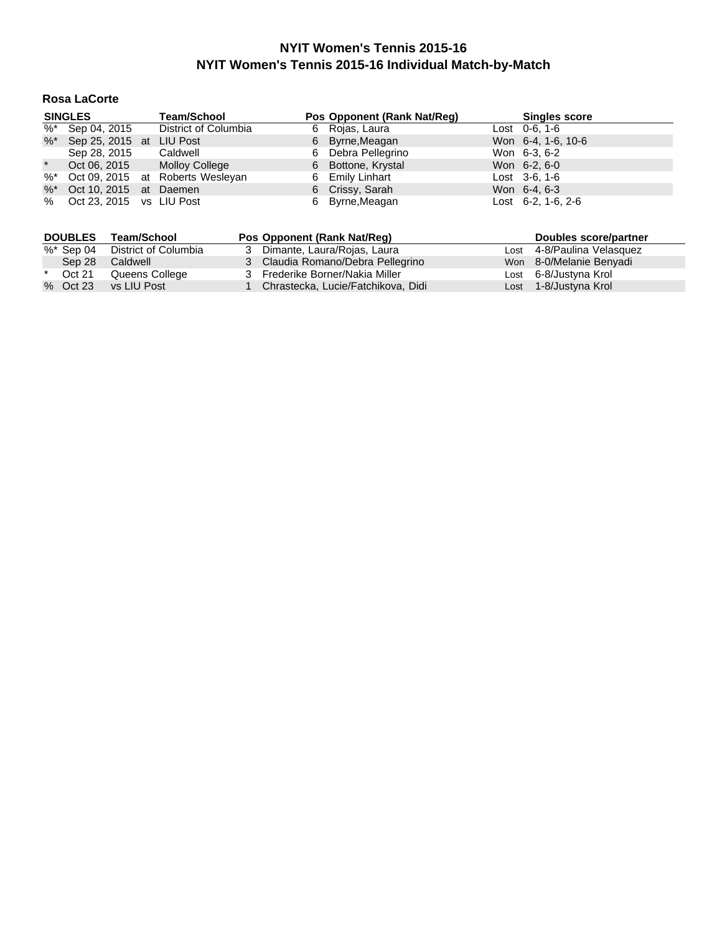## **Rosa LaCorte**

|         | <b>SINGLES</b>              | <b>Team/School</b>                  | Pos Opponent (Rank Nat/Reg) | <b>Singles score</b>         |
|---------|-----------------------------|-------------------------------------|-----------------------------|------------------------------|
|         | $\frac{1}{26}$ Sep 04, 2015 | District of Columbia                | 6 Rojas, Laura              | Lost $0-6, 1-6$              |
|         | %* Sep 25, 2015 at LIU Post |                                     | 6 Byrne, Meagan             | Won 6-4, 1-6, 10-6           |
|         | Sep 28, 2015                | Caldwell                            | 6 Debra Pellegrino          | Won 6-3, 6-2                 |
| $\star$ | Oct 06, 2015                | Molloy College                      | 6 Bottone, Krystal          | Won 6-2, 6-0                 |
|         |                             | %* Oct 09, 2015 at Roberts Wesleyan | 6 Emily Linhart             | Lost $3-6, 1-6$              |
|         | %* Oct 10, 2015 at Daemen   |                                     | 6 Crissy, Sarah             | Won 6-4, 6-3                 |
|         | % Oct 23, 2015 vs LIU Post  |                                     | 6 Byrne, Meagan             | Lost $6-2$ , 1 $-6$ , 2 $-6$ |

|         | <b>DOUBLES</b> | Team/School          | Pos Opponent (Rank Nat/Req)        | Doubles score/partner      |
|---------|----------------|----------------------|------------------------------------|----------------------------|
|         | %* Sep 04      | District of Columbia | 3 Dimante, Laura/Rojas, Laura      | Lost 4-8/Paulina Velasquez |
|         | Sep 28         | Caldwell             | 3 Claudia Romano/Debra Pellegrino  | Won 8-0/Melanie Benyadi    |
| $\star$ | Oct 21         | Queens College       | 3 Frederike Borner/Nakia Miller    | Lost 6-8/Justyna Krol      |
|         | % Oct 23       | vs LIU Post          | Chrastecka, Lucie/Fatchikova, Didi | Lost 1-8/Justyna Krol      |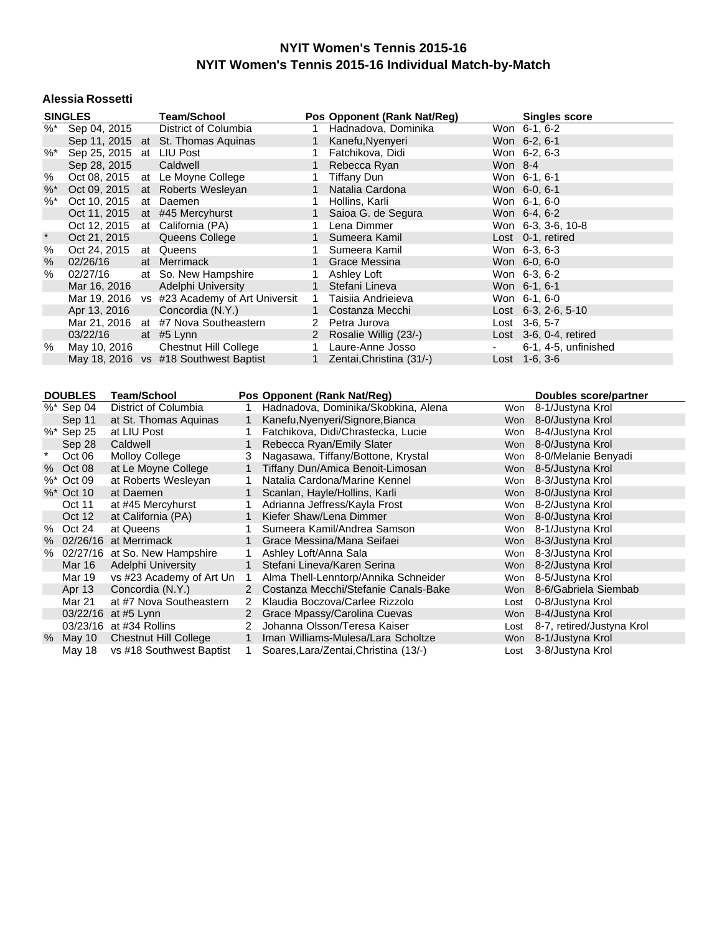#### **Alessia Rossetti**

|               | <b>SINGLES</b>                |                       | <b>Team/School</b>                           |              |                       |                | Pos Opponent (Rank Nat/Reg)                                        |            | <b>Singles score</b>                     |
|---------------|-------------------------------|-----------------------|----------------------------------------------|--------------|-----------------------|----------------|--------------------------------------------------------------------|------------|------------------------------------------|
| $\frac{9}{6}$ | Sep 04, 2015                  |                       | District of Columbia                         |              |                       | 1.             | Hadnadova, Dominika                                                |            | Won 6-1, 6-2                             |
|               |                               |                       | Sep 11, 2015 at St. Thomas Aquinas           |              |                       | $\mathbf{1}$   | Kanefu, Nyenyeri                                                   |            | Won 6-2, 6-1                             |
| $\%$ $*$      | Sep 25, 2015                  |                       | at LIU Post                                  |              |                       | 1.             | Fatchikova, Didi                                                   |            | Won 6-2, 6-3                             |
|               | Sep 28, 2015                  |                       | Caldwell                                     |              |                       | 1              | Rebecca Ryan                                                       | Won 8-4    |                                          |
| %             | Oct 08, 2015                  |                       | at Le Moyne College                          |              |                       | 1              | <b>Tiffany Dun</b>                                                 |            | Won 6-1, 6-1                             |
| $%$ *         | Oct 09, 2015                  |                       | at Roberts Wesleyan                          |              |                       | $\mathbf{1}$   | Natalia Cardona                                                    |            | Won 6-0, 6-1                             |
| $%$ *         | Oct 10, 2015                  |                       | at Daemen                                    |              |                       | 1              | Hollins, Karli                                                     |            | Won 6-1, 6-0                             |
|               | Oct 11, 2015                  |                       | at #45 Mercyhurst                            |              |                       | 1              | Saioa G. de Segura                                                 |            | Won 6-4, 6-2                             |
|               | Oct 12, 2015                  |                       | at California (PA)                           |              |                       | 1              | Lena Dimmer                                                        |            | Won 6-3, 3-6, 10-8                       |
| $\ast$        | Oct 21, 2015                  |                       | Queens College                               |              |                       | $\mathbf{1}$   | Sumeera Kamil                                                      |            | Lost 0-1, retired                        |
| $\%$          | Oct 24, 2015                  |                       | at Queens                                    |              |                       | 1              | Sumeera Kamil                                                      |            | Won 6-3, 6-3                             |
| $\%$          | 02/26/16                      |                       | at Merrimack                                 |              |                       | 1              | Grace Messina                                                      |            | Won 6-0, 6-0                             |
| %             | 02/27/16                      |                       | at So. New Hampshire                         |              |                       | 1              | Ashley Loft                                                        |            | Won 6-3, 6-2                             |
|               | Mar 16, 2016                  |                       | Adelphi University                           |              |                       | $\mathbf{1}$   | Stefani Lineva                                                     |            | Won 6-1, 6-1                             |
|               |                               |                       | Mar 19, 2016 vs #23 Academy of Art Universit |              |                       | $\mathbf{1}$   | Taisiia Andrieieva                                                 |            | Won 6-1, 6-0                             |
|               | Apr 13, 2016                  |                       | Concordia (N.Y.)                             |              |                       | $\mathbf{1}$   | Costanza Mecchi                                                    |            | Lost 6-3, 2-6, 5-10                      |
|               | Mar 21, 2016                  |                       | at #7 Nova Southeastern                      |              |                       | $\overline{2}$ | Petra Jurova                                                       |            | Lost 3-6, 5-7                            |
|               | 03/22/16                      |                       | at #5 Lynn                                   |              |                       | $2^{\circ}$    | Rosalie Willig (23/-)                                              |            | Lost 3-6, 0-4, retired                   |
| %             | May 10, 2016                  |                       | <b>Chestnut Hill College</b>                 |              |                       | $\mathbf{1}$   | Laure-Anne Josso                                                   |            | 6-1, 4-5, unfinished                     |
|               |                               |                       | May 18, 2016 vs #18 Southwest Baptist        |              |                       | 1              | Zentai, Christina (31/-)                                           |            | Lost 1-6, 3-6                            |
|               |                               |                       |                                              |              |                       |                |                                                                    |            |                                          |
|               |                               |                       |                                              |              |                       |                |                                                                    |            |                                          |
|               | <b>DOUBLES</b>                |                       |                                              |              |                       |                |                                                                    |            |                                          |
|               |                               |                       | <b>Team/School</b>                           |              |                       |                | Pos Opponent (Rank Nat/Reg)                                        |            | <b>Doubles score/partner</b>             |
|               | $%$ * Sep 04                  |                       | <b>District of Columbia</b>                  | 1            |                       |                | Hadnadova, Dominika/Skobkina, Alena                                | Won        | 8-1/Justyna Krol                         |
|               | Sep 11                        |                       | at St. Thomas Aquinas                        | $\mathbf{1}$ |                       |                | Kanefu, Nyenyeri/Signore, Bianca                                   | <b>Won</b> | 8-0/Justyna Krol                         |
|               | %* Sep 25                     | at LIU Post           |                                              | 1            |                       |                | Fatchikova, Didi/Chrastecka, Lucie                                 | Won        | 8-4/Justyna Krol                         |
|               | Sep 28                        | Caldwell              |                                              | $\mathbf{1}$ |                       |                | Rebecca Ryan/Emily Slater                                          | Won        | 8-0/Justyna Krol                         |
| $\ast$        | Oct 06                        | <b>Molloy College</b> |                                              | 3            |                       |                | Nagasawa, Tiffany/Bottone, Krystal                                 | Won        | 8-0/Melanie Benyadi                      |
|               | % Oct 08                      |                       | at Le Moyne College                          | $\mathbf{1}$ |                       |                | Tiffany Dun/Amica Benoit-Limosan                                   | Won        | 8-5/Justyna Krol                         |
|               | %* Oct 09                     |                       | at Roberts Wesleyan                          | 1            |                       |                | Natalia Cardona/Marine Kennel                                      | Won        | 8-3/Justyna Krol                         |
|               | %* Oct 10                     | at Daemen             |                                              | $\mathbf{1}$ |                       |                | Scanlan, Hayle/Hollins, Karli                                      | Won        | 8-0/Justyna Krol                         |
|               | Oct 11                        |                       | at #45 Mercyhurst                            | $\mathbf{1}$ |                       |                | Adrianna Jeffress/Kayla Frost                                      | Won        | 8-2/Justyna Krol                         |
|               | Oct 12                        |                       | at California (PA)                           | $\mathbf{1}$ |                       |                | Kiefer Shaw/Lena Dimmer                                            | Won        | 8-0/Justyna Krol                         |
|               | % Oct 24                      | at Queens             |                                              | 1            |                       |                | Sumeera Kamil/Andrea Samson                                        | Won        | 8-1/Justyna Krol                         |
|               | % 02/26/16 at Merrimack       |                       |                                              | 1            |                       |                | Grace Messina/Mana Seifaei                                         | <b>Won</b> | 8-3/Justyna Krol                         |
|               |                               |                       | % 02/27/16 at So. New Hampshire              | 1            | Ashley Loft/Anna Sala |                |                                                                    | Won        | 8-3/Justyna Krol                         |
|               | Mar 16                        |                       | Adelphi University                           | $\mathbf{1}$ |                       |                | Stefani Lineva/Karen Serina                                        |            | Won 8-2/Justyna Krol                     |
|               | Mar 19                        |                       | vs #23 Academy of Art Un                     | 1            |                       |                | Alma Thell-Lenntorp/Annika Schneider                               | Won        | 8-5/Justyna Krol                         |
|               | Apr 13                        |                       | Concordia (N.Y.)                             |              |                       |                | 2 Costanza Mecchi/Stefanie Canals-Bake                             | Won        | 8-6/Gabriela Siembab                     |
|               | Mar 21<br>03/22/16 at #5 Lynn |                       | at #7 Nova Southeastern                      |              |                       |                | 2 Klaudia Boczova/Carlee Rizzolo<br>2 Grace Mpassy/Carolina Cuevas | Lost       | 0-8/Justyna Krol<br>Won 8-4/Justyna Krol |

districts...<br>2 Grace Mpassy/Carolina Cuevas 03/23/16 at #34 Rollins 2 Johanna Olsson/Teresa Kaiser Lost 8-7, retired/Justyna Krol<br>% May 10 Chestnut Hill College 1 Iman Williams-Mulesa/Lara Scholtze Won 8-1/Justyna Krol

May 18 vs #18 Southwest Baptist 1 Soares, Lara/Zentai, Christina (13/-)

1 Iman Williams-Mulesa/Lara Scholtze Won 8-1/Justyna Krol<br>1 Soares,Lara/Zentai,Christina (13/-) Lost 3-8/Justyna Krol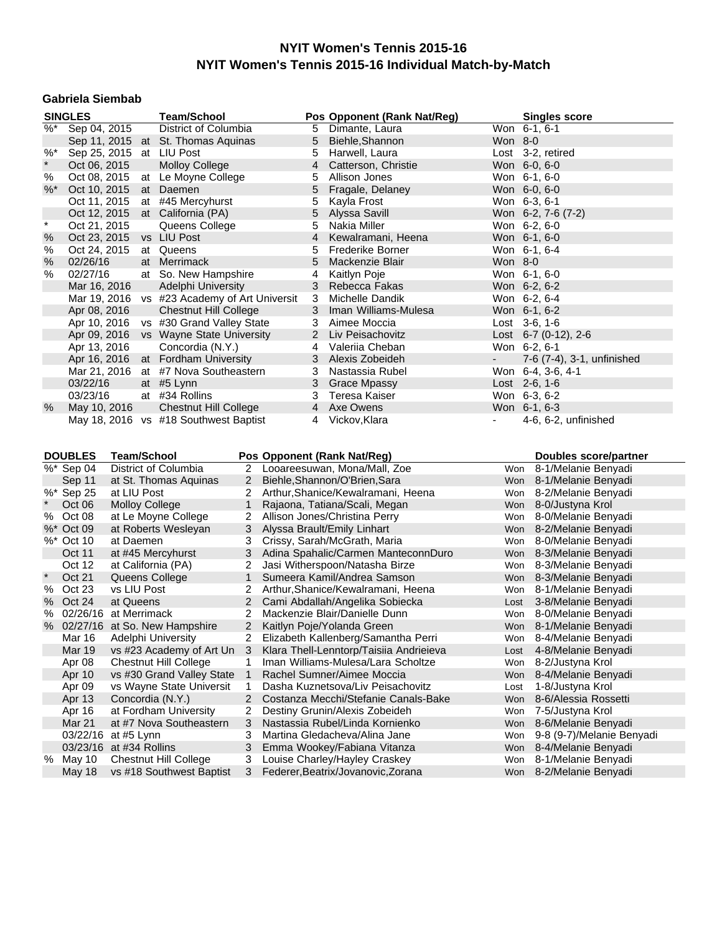### **Gabriela Siembab**

|                     | <b>SINGLES</b>                      |                       | <b>Team/School</b>                                    |                |                | Pos Opponent (Rank Nat/Reg)                                      |                 | <b>Singles score</b>                       |
|---------------------|-------------------------------------|-----------------------|-------------------------------------------------------|----------------|----------------|------------------------------------------------------------------|-----------------|--------------------------------------------|
| $\overline{\%^{*}}$ | Sep 04, 2015                        |                       | District of Columbia                                  |                | 5              | Dimante, Laura                                                   | Won 6-1, 6-1    |                                            |
|                     |                                     |                       | Sep 11, 2015 at St. Thomas Aquinas                    |                | 5              | Biehle, Shannon                                                  | Won 8-0         |                                            |
| $%$ *               |                                     |                       | Sep 25, 2015 at LIU Post                              |                | 5              | Harwell, Laura                                                   |                 | Lost 3-2, retired                          |
| $\star$             | Oct 06, 2015                        |                       | <b>Molloy College</b>                                 |                | $\overline{4}$ | Catterson, Christie                                              | Won 6-0, 6-0    |                                            |
| %                   | Oct 08, 2015                        |                       | at Le Moyne College                                   |                | 5              | Allison Jones                                                    | Won 6-1, 6-0    |                                            |
| %                   | Oct 10, 2015                        |                       | at Daemen                                             |                | 5              | Fragale, Delaney                                                 | Won 6-0, 6-0    |                                            |
|                     | Oct 11, 2015                        |                       | at #45 Mercyhurst                                     |                | 5              | Kayla Frost                                                      | Won 6-3, 6-1    |                                            |
|                     | Oct 12, 2015                        |                       | at California (PA)                                    |                | 5              | Alyssa Savill                                                    |                 | Won 6-2, 7-6 (7-2)                         |
| $\star$             | Oct 21, 2015                        |                       | Queens College                                        |                | 5              | Nakia Miller                                                     | Won 6-2, 6-0    |                                            |
| %                   |                                     |                       | Oct 23, 2015 vs LIU Post                              |                | $\overline{4}$ | Kewalramani, Heena                                               | Won 6-1, 6-0    |                                            |
| $\%$                | Oct 24, 2015                        |                       | at Queens                                             |                | 5              | Frederike Borner                                                 | Won 6-1, 6-4    |                                            |
| $\%$                | 02/26/16                            |                       | at Merrimack                                          |                | 5              | Mackenzie Blair                                                  | Won 8-0         |                                            |
| $\%$                | 02/27/16                            |                       | at So. New Hampshire                                  |                | 4              | Kaitlyn Poje                                                     | Won 6-1, 6-0    |                                            |
|                     | Mar 16, 2016                        |                       | Adelphi University                                    |                | 3              | Rebecca Fakas                                                    | Won 6-2, 6-2    |                                            |
|                     |                                     |                       | Mar 19, 2016 vs #23 Academy of Art Universit          |                | 3              | Michelle Dandik                                                  | Won 6-2, 6-4    |                                            |
|                     |                                     |                       | <b>Chestnut Hill College</b>                          |                | 3              | Iman Williams-Mulesa                                             | Won 6-1, 6-2    |                                            |
|                     | Apr 08, 2016                        |                       | Apr 10, 2016 vs #30 Grand Valley State                |                | 3              | Aimee Moccia                                                     | Lost $3-6, 1-6$ |                                            |
|                     |                                     |                       |                                                       |                |                |                                                                  |                 |                                            |
|                     |                                     |                       | Apr 09, 2016 vs Wayne State University                |                | $2^{\circ}$    | Liv Peisachovitz                                                 |                 | Lost 6-7 (0-12), 2-6                       |
|                     | Apr 13, 2016                        |                       | Concordia (N.Y.)                                      |                | 4              | Valeriia Cheban                                                  | Won 6-2, 6-1    |                                            |
|                     |                                     |                       | Apr 16, 2016 at Fordham University                    |                | 3              | Alexis Zobeideh                                                  |                 | 7-6 (7-4), 3-1, unfinished                 |
|                     |                                     |                       | Mar 21, 2016 at #7 Nova Southeastern                  |                | 3              | Nastassia Rubel                                                  |                 | Won 6-4, 3-6, 4-1                          |
|                     | 03/22/16                            |                       | at #5 Lynn                                            |                | 3              | <b>Grace Mpassy</b>                                              | Lost 2-6, 1-6   |                                            |
|                     | 03/23/16                            |                       | at #34 Rollins                                        |                | 3              | <b>Teresa Kaiser</b>                                             | Won 6-3, 6-2    |                                            |
| %                   | May 10, 2016                        |                       | <b>Chestnut Hill College</b>                          |                | $\overline{4}$ | Axe Owens                                                        | Won 6-1, 6-3    |                                            |
|                     |                                     |                       | May 18, 2016 vs #18 Southwest Baptist                 |                | 4              | Vickov, Klara                                                    | $\blacksquare$  | 4-6, 6-2, unfinished                       |
|                     |                                     |                       |                                                       |                |                |                                                                  |                 |                                            |
|                     |                                     |                       |                                                       |                |                |                                                                  |                 |                                            |
|                     |                                     |                       |                                                       |                |                |                                                                  |                 |                                            |
|                     | <b>DOUBLES</b>                      | <b>Team/School</b>    |                                                       |                |                | Pos Opponent (Rank Nat/Reg)                                      |                 | Doubles score/partner                      |
|                     | %* Sep 04                           |                       | District of Columbia                                  |                |                | 2 Looareesuwan, Mona/Mall, Zoe                                   | Won             | 8-1/Melanie Benyadi                        |
|                     | Sep 11                              |                       | at St. Thomas Aquinas                                 | $2^{\circ}$    |                | Biehle, Shannon/O'Brien, Sara                                    |                 | Won 8-1/Melanie Benyadi                    |
|                     | %* Sep 25                           | at LIU Post           |                                                       | 2              |                | Arthur, Shanice/Kewalramani, Heena                               |                 | Won 8-2/Melanie Benyadi                    |
| $\star$             | Oct 06                              | <b>Molloy College</b> |                                                       | $\mathbf{1}$   |                | Rajaona, Tatiana/Scali, Megan                                    |                 | Won 8-0/Justyna Krol                       |
|                     | % Oct 08                            |                       | at Le Moyne College                                   | 2              |                | Allison Jones/Christina Perry                                    | Won             | 8-0/Melanie Benyadi                        |
|                     | %* Oct 09                           |                       | at Roberts Wesleyan                                   | 3              |                | Alyssa Brault/Emily Linhart                                      |                 | Won 8-2/Melanie Benyadi                    |
|                     | %* Oct 10                           | at Daemen             |                                                       | 3              |                | Crissy, Sarah/McGrath, Maria                                     |                 | Won 8-0/Melanie Benyadi                    |
|                     | Oct 11                              |                       | at #45 Mercyhurst                                     | 3              |                | Adina Spahalic/Carmen ManteconnDuro                              |                 | Won 8-3/Melanie Benyadi                    |
|                     | Oct 12                              |                       | at California (PA)                                    | 2              |                | Jasi Witherspoon/Natasha Birze                                   |                 | Won 8-3/Melanie Benyadi                    |
| $\star$             | Oct 21                              |                       | Queens College                                        | $\mathbf{1}$   |                | Sumeera Kamil/Andrea Samson                                      |                 | Won 8-3/Melanie Benyadi                    |
| %                   | Oct 23                              | vs LIU Post           |                                                       | 2              |                | Arthur, Shanice/Kewalramani, Heena                               | Won             | 8-1/Melanie Benyadi                        |
| %                   | Oct 24                              | at Queens             |                                                       | $\overline{2}$ |                | Cami Abdallah/Angelika Sobiecka                                  | Lost            | 3-8/Melanie Benyadi                        |
| %                   | 02/26/16 at Merrimack               |                       |                                                       | $\overline{2}$ |                | Mackenzie Blair/Danielle Dunn                                    | Won             | 8-0/Melanie Benyadi                        |
|                     |                                     |                       | % 02/27/16 at So. New Hampshire                       |                |                | 2 Kaitlyn Poje/Yolanda Green                                     |                 | Won 8-1/Melanie Benyadi                    |
|                     | Mar 16                              |                       | Adelphi University                                    | $\overline{2}$ |                | Elizabeth Kallenberg/Samantha Perri                              |                 | Won 8-4/Melanie Benvadi                    |
|                     | <b>Mar 19</b>                       |                       | vs #23 Academy of Art Un                              | -3             |                | Klara Thell-Lenntorp/Taisiia Andrieieva                          | Lost            |                                            |
|                     |                                     |                       |                                                       | 1              |                |                                                                  | Won             | 4-8/Melanie Benyadi<br>8-2/Justyna Krol    |
|                     | Apr 08<br>Apr 10                    |                       | <b>Chestnut Hill College</b>                          | $\mathbf{1}$   |                | Iman Williams-Mulesa/Lara Scholtze<br>Rachel Sumner/Aimee Moccia | Won             | 8-4/Melanie Benyadi                        |
|                     |                                     |                       | vs #30 Grand Valley State<br>vs Wayne State Universit | 1              |                | Dasha Kuznetsova/Liv Peisachovitz                                | Lost            |                                            |
|                     | Apr 09                              |                       | Concordia (N.Y.)                                      | 2              |                | Costanza Mecchi/Stefanie Canals-Bake                             | Won             | 1-8/Justyna Krol<br>8-6/Alessia Rossetti   |
|                     | Apr 13                              |                       | at Fordham University                                 | 2              |                |                                                                  | Won             |                                            |
|                     | Apr 16                              |                       |                                                       | 3              |                | Destiny Grunin/Alexis Zobeideh                                   |                 | 7-5/Justyna Krol                           |
|                     | Mar 21                              |                       | at #7 Nova Southeastern                               | 3              |                | Nastassia Rubel/Linda Kornienko                                  | Won             | 8-6/Melanie Benyadi                        |
|                     | 03/22/16 at #5 Lynn                 |                       |                                                       |                |                | Martina Gledacheva/Alina Jane                                    | Won             | 9-8 (9-7)/Melanie Benyadi                  |
|                     | 03/23/16 at #34 Rollins<br>% May 10 |                       | <b>Chestnut Hill College</b>                          | 3<br>3         |                | Emma Wookey/Fabiana Vitanza<br>Louise Charley/Hayley Craskey     | Won<br>Won      | 8-4/Melanie Benyadi<br>8-1/Melanie Benyadi |